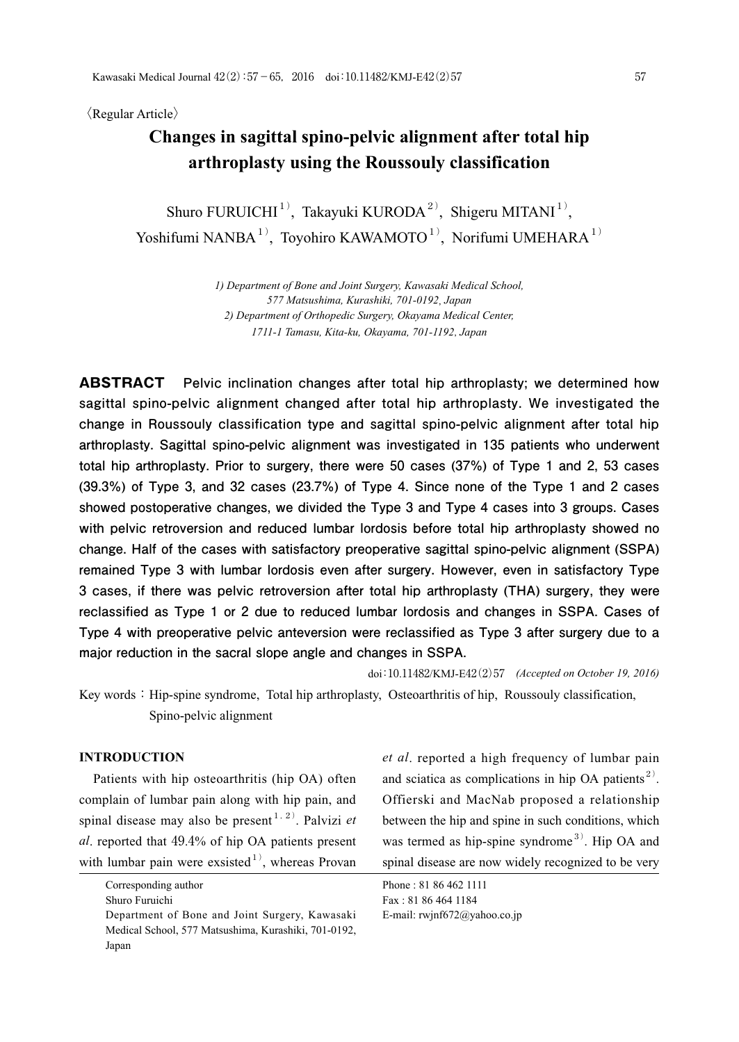〈Regular Article〉

# **Changes in sagittal spino-pelvic alignment after total hip arthroplasty using the Roussouly classification**

Shuro FURUICHI<sup>1)</sup>, Takayuki KURODA<sup>2)</sup>, Shigeru MITANI<sup>1)</sup>, Yoshifumi NANBA<sup>1)</sup>, Toyohiro KAWAMOTO<sup>1)</sup>, Norifumi UMEHARA<sup>1)</sup>

> *1) Department of Bone and Joint Surgery, Kawasaki Medical School, 577 Matsushima, Kurashiki, 701-0192*, *Japan 2) Department of Orthopedic Surgery, Okayama Medical Center, 1711-1 Tamasu, Kita-ku, Okayama, 701-1192*, *Japan*

**ABSTRACT Pelvic inclination changes after total hip arthroplasty; we determined how sagittal spino-pelvic alignment changed after total hip arthroplasty. We investigated the change in Roussouly classification type and sagittal spino-pelvic alignment after total hip arthroplasty. Sagittal spino-pelvic alignment was investigated in 135 patients who underwent total hip arthroplasty. Prior to surgery, there were 50 cases (37%) of Type 1 and 2, 53 cases (39.3%) of Type 3, and 32 cases (23.7%) of Type 4. Since none of the Type 1 and 2 cases showed postoperative changes, we divided the Type 3 and Type 4 cases into 3 groups. Cases with pelvic retroversion and reduced lumbar lordosis before total hip arthroplasty showed no change. Half of the cases with satisfactory preoperative sagittal spino-pelvic alignment (SSPA) remained Type 3 with lumbar lordosis even after surgery. However, even in satisfactory Type 3 cases, if there was pelvic retroversion after total hip arthroplasty (THA) surgery, they were reclassified as Type 1 or 2 due to reduced lumbar lordosis and changes in SSPA. Cases of Type 4 with preoperative pelvic anteversion were reclassified as Type 3 after surgery due to a major reduction in the sacral slope angle and changes in SSPA.**

doi:10.11482/KMJ-E42(2)57 *(Accepted on October 19, 2016)*

Key words: Hip-spine syndrome, Total hip arthroplasty, Osteoarthritis of hip, Roussouly classification, Spino-pelvic alignment

### **INTRODUCTION**

 Patients with hip osteoarthritis (hip OA) often complain of lumbar pain along with hip pain, and spinal disease may also be present<sup> $1, 2$ </sup>. Palvizi *et al*. reported that 49.4% of hip OA patients present with lumbar pain were exsisted<sup>1)</sup>, whereas Provan *et al*. reported a high frequency of lumbar pain and sciatica as complications in hip OA patients<sup>2)</sup>. Offierski and MacNab proposed a relationship between the hip and spine in such conditions, which was termed as hip-spine syndrome<sup>3)</sup>. Hip OA and spinal disease are now widely recognized to be very

Phone : 81 86 462 1111 Fax : 81 86 464 1184 E-mail: rwjnf672@yahoo.co.jp

Corresponding author

Shuro Furuichi

Department of Bone and Joint Surgery, Kawasaki Medical School, 577 Matsushima, Kurashiki, 701-0192, Japan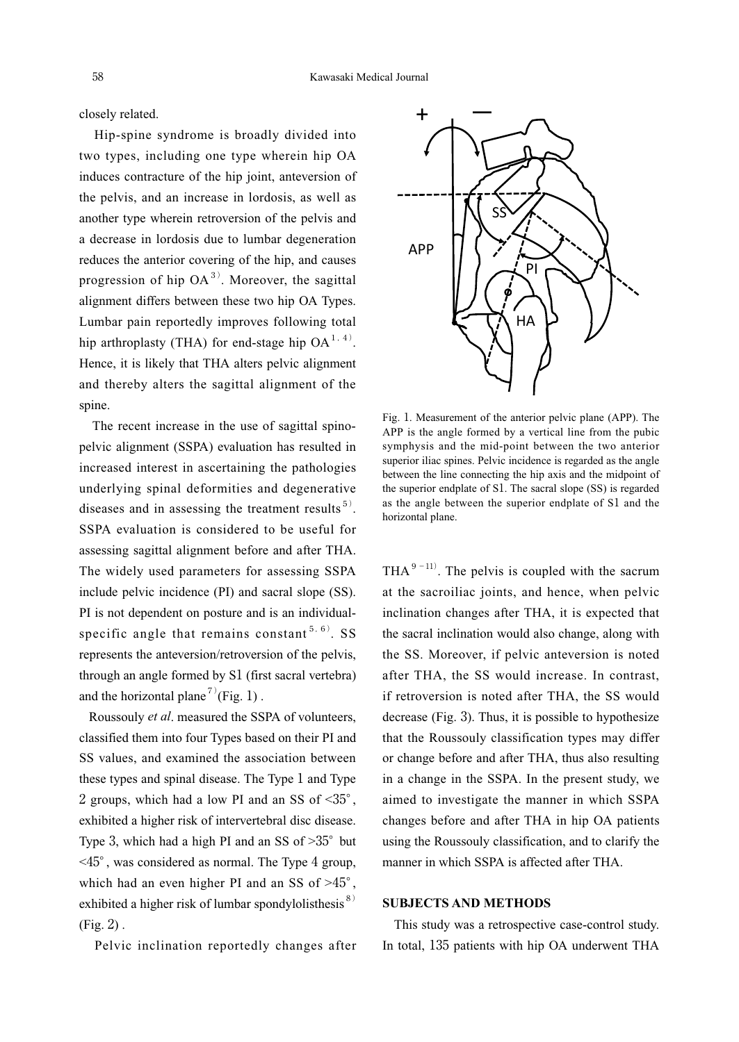closely related.

 Hip-spine syndrome is broadly divided into two types, including one type wherein hip OA induces contracture of the hip joint, anteversion of the pelvis, and an increase in lordosis, as well as another type wherein retroversion of the pelvis and a decrease in lordosis due to lumbar degeneration reduces the anterior covering of the hip, and causes progression of hip  $OA^{3}$ . Moreover, the sagittal alignment differs between these two hip OA Types. Lumbar pain reportedly improves following total hip arthroplasty (THA) for end-stage hip  $OA^{1, 4}$ . Hence, it is likely that THA alters pelvic alignment and thereby alters the sagittal alignment of the spine.

 The recent increase in the use of sagittal spinopelvic alignment (SSPA) evaluation has resulted in increased interest in ascertaining the pathologies underlying spinal deformities and degenerative diseases and in assessing the treatment results<sup>5)</sup>. SSPA evaluation is considered to be useful for assessing sagittal alignment before and after THA. The widely used parameters for assessing SSPA include pelvic incidence (PI) and sacral slope (SS). PI is not dependent on posture and is an individualspecific angle that remains constant<sup>5,6)</sup>. SS represents the anteversion/retroversion of the pelvis, through an angle formed by S1 (first sacral vertebra) and the horizontal plane<sup>7)</sup>(Fig. 1).

 Roussouly *et al*. measured the SSPA of volunteers, classified them into four Types based on their PI and SS values, and examined the association between these types and spinal disease. The Type 1 and Type 2 groups, which had a low PI and an SS of  $\leq 35^\circ$ , exhibited a higher risk of intervertebral disc disease. Type 3, which had a high PI and an SS of  $>35^{\circ}$  but <45°, was considered as normal. The Type 4 group, which had an even higher PI and an SS of  $>45^\circ$ , exhibited a higher risk of lumbar spondylolisthesis $8$ ) (Fig. 2) .

Pelvic inclination reportedly changes after



Fig. 1. Measurement of the anterior pelvic plane (APP). The APP is the angle formed by a vertical line from the pubic symphysis and the mid-point between the two anterior superior iliac spines. Pelvic incidence is regarded as the angle between the line connecting the hip axis and the midpoint of the superior endplate of S1. The sacral slope (SS) is regarded as the angle between the superior endplate of S1 and the horizontal plane.

THA $^{9-11}$ . The pelvis is coupled with the sacrum at the sacroiliac joints, and hence, when pelvic inclination changes after THA, it is expected that the sacral inclination would also change, along with the SS. Moreover, if pelvic anteversion is noted after THA, the SS would increase. In contrast, if retroversion is noted after THA, the SS would decrease (Fig. 3). Thus, it is possible to hypothesize that the Roussouly classification types may differ or change before and after THA, thus also resulting in a change in the SSPA. In the present study, we aimed to investigate the manner in which SSPA changes before and after THA in hip OA patients using the Roussouly classification, and to clarify the manner in which SSPA is affected after THA.

### **SUBJECTS AND METHODS**

 This study was a retrospective case-control study. In total, 135 patients with hip OA underwent THA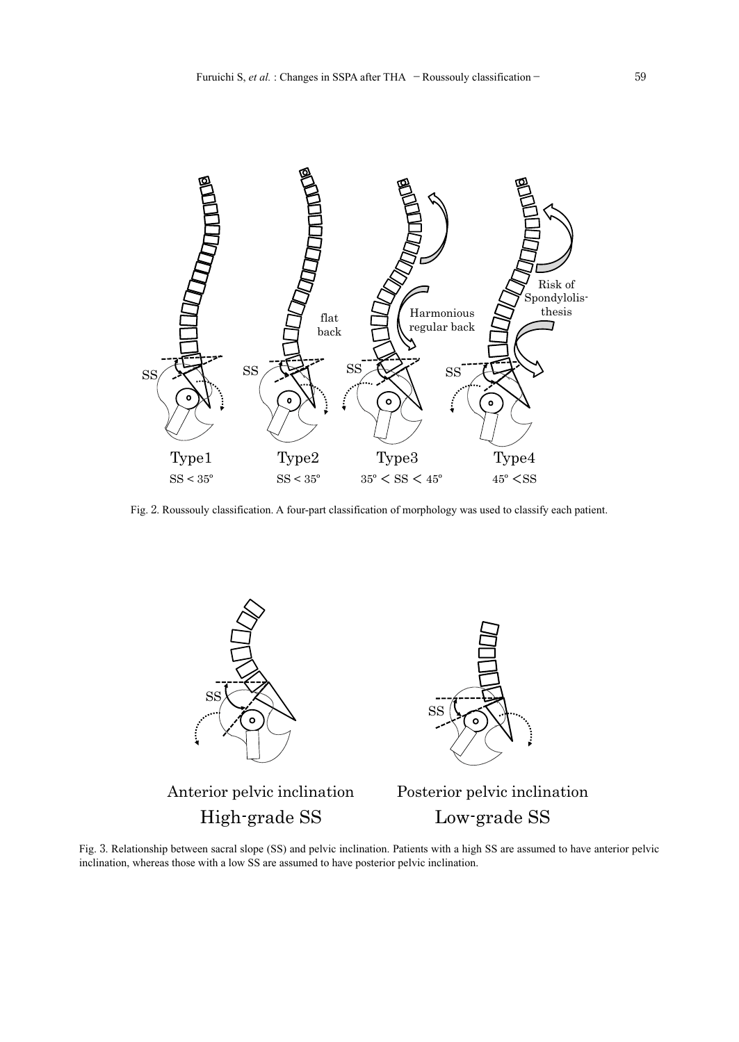

Fig. 2. Roussouly classification. A four-part classification of morphology was used to classify each patient.



Anterior pelvic inclination



High-grade SS Low-grade SS Posterior pelvic inclination

Fig. 3. Relationship between sacral slope (SS) and pelvic inclination. Patients with a high SS are assumed to have anterior pelvic inclination, whereas those with a low SS are assumed to have posterior pelvic inclination.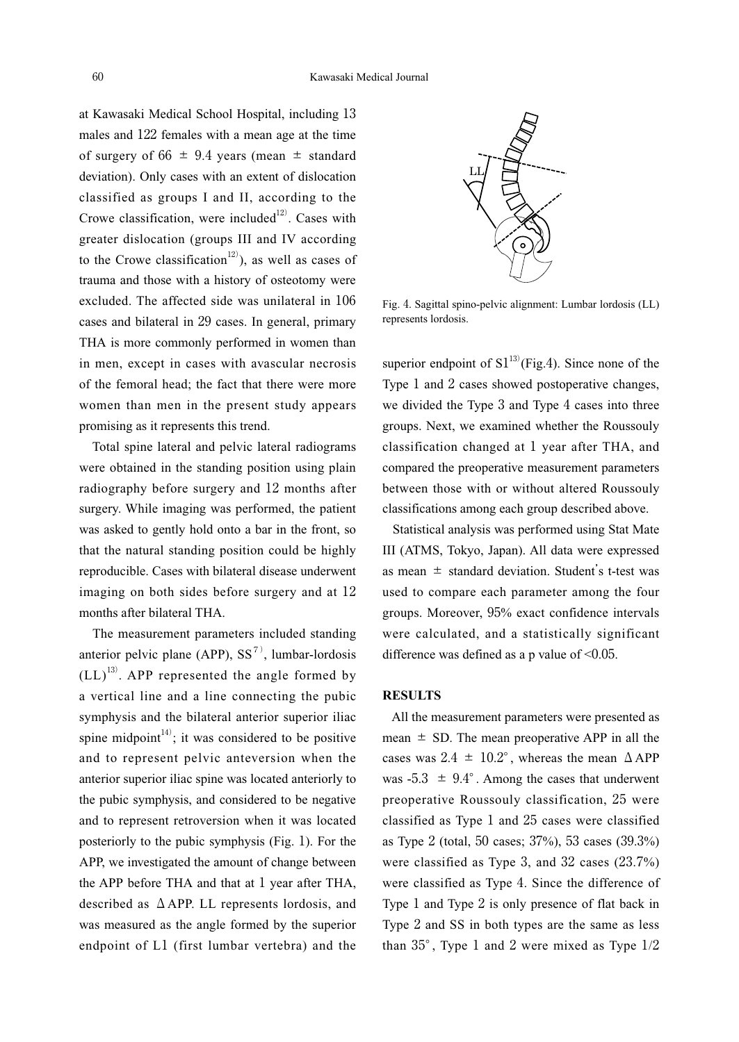at Kawasaki Medical School Hospital, including 13 males and 122 females with a mean age at the time of surgery of  $66 \pm 9.4$  years (mean  $\pm$  standard deviation). Only cases with an extent of dislocation classified as groups I and II, according to the Crowe classification, were included $12$ . Cases with greater dislocation (groups III and IV according to the Crowe classification<sup>12)</sup>), as well as cases of trauma and those with a history of osteotomy were excluded. The affected side was unilateral in 106 cases and bilateral in 29 cases. In general, primary THA is more commonly performed in women than in men, except in cases with avascular necrosis of the femoral head; the fact that there were more women than men in the present study appears promising as it represents this trend.

 Total spine lateral and pelvic lateral radiograms were obtained in the standing position using plain radiography before surgery and 12 months after surgery. While imaging was performed, the patient was asked to gently hold onto a bar in the front, so that the natural standing position could be highly reproducible. Cases with bilateral disease underwent imaging on both sides before surgery and at 12 months after bilateral THA.

 The measurement parameters included standing anterior pelvic plane (APP),  $SS^{7}$ , lumbar-lordosis  $(LL)^{13}$ . APP represented the angle formed by a vertical line and a line connecting the pubic symphysis and the bilateral anterior superior iliac spine midpoint<sup>14)</sup>; it was considered to be positive and to represent pelvic anteversion when the anterior superior iliac spine was located anteriorly to the pubic symphysis, and considered to be negative and to represent retroversion when it was located posteriorly to the pubic symphysis (Fig. 1). For the APP, we investigated the amount of change between the APP before THA and that at 1 year after THA, described as  $\triangle$  APP. LL represents lordosis, and was measured as the angle formed by the superior endpoint of L1 (first lumbar vertebra) and the



Fig. 4. Sagittal spino-pelvic alignment: Lumbar lordosis (LL) represents lordosis.

superior endpoint of  $\text{S1}^{13}$  (Fig.4). Since none of the Type 1 and 2 cases showed postoperative changes, we divided the Type 3 and Type 4 cases into three groups. Next, we examined whether the Roussouly classification changed at 1 year after THA, and compared the preoperative measurement parameters between those with or without altered Roussouly classifications among each group described above.

 Statistical analysis was performed using Stat Mate III (ATMS, Tokyo, Japan). All data were expressed as mean  $\pm$  standard deviation. Student's t-test was used to compare each parameter among the four groups. Moreover, 95% exact confidence intervals were calculated, and a statistically significant difference was defined as a p value of  $<0.05$ .

## **RESULTS**

 All the measurement parameters were presented as mean  $\pm$  SD. The mean preoperative APP in all the cases was  $2.4 \pm 10.2^{\circ}$ , whereas the mean  $\triangle$  APP was  $-5.3 \pm 9.4^\circ$ . Among the cases that underwent preoperative Roussouly classification, 25 were classified as Type 1 and 25 cases were classified as Type 2 (total, 50 cases; 37%), 53 cases (39.3%) were classified as Type 3, and 32 cases (23.7%) were classified as Type 4. Since the difference of Type 1 and Type 2 is only presence of flat back in Type 2 and SS in both types are the same as less than 35°, Type 1 and 2 were mixed as Type 1/2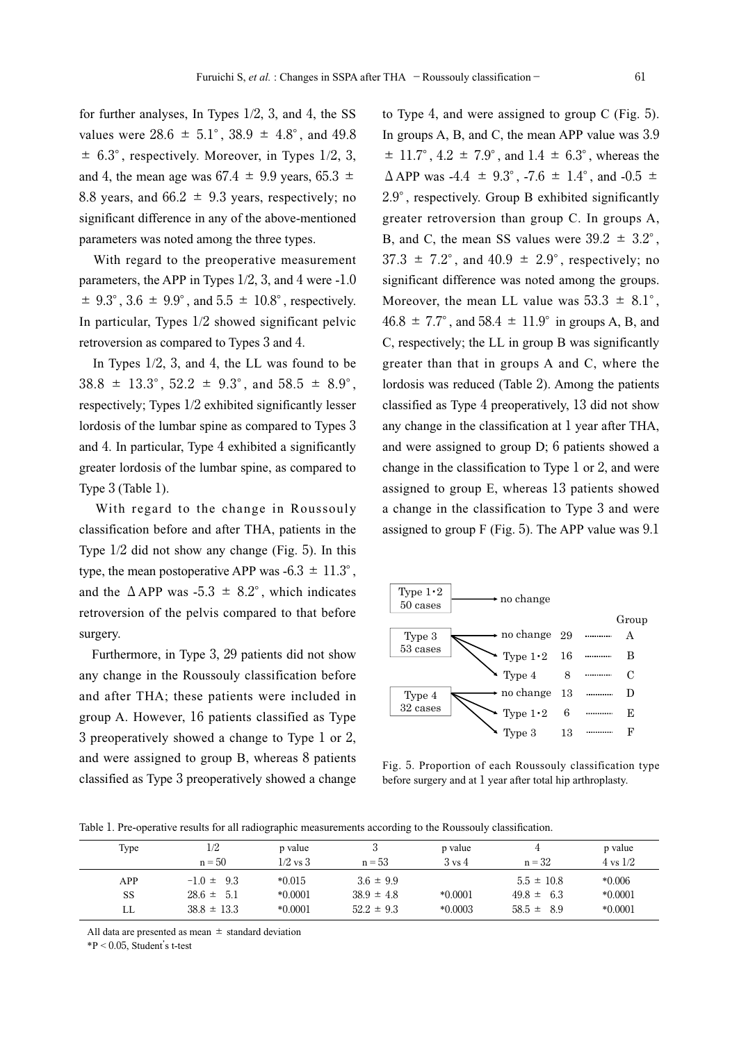for further analyses, In Types 1/2, 3, and 4, the SS values were  $28.6 \pm 5.1^{\circ}$ ,  $38.9 \pm 4.8^{\circ}$ , and  $49.8$  $\pm$  6.3°, respectively. Moreover, in Types 1/2, 3, and 4, the mean age was  $67.4 \pm 9.9$  years,  $65.3 \pm 1$ 8.8 years, and  $66.2 \pm 9.3$  years, respectively; no significant difference in any of the above-mentioned parameters was noted among the three types.

 With regard to the preoperative measurement parameters, the APP in Types 1/2, 3, and 4 were -1.0  $\pm$  9.3°, 3.6  $\pm$  9.9°, and 5.5  $\pm$  10.8°, respectively. In particular, Types 1/2 showed significant pelvic retroversion as compared to Types 3 and 4.

 In Types 1/2, 3, and 4, the LL was found to be  $38.8 \pm 13.3^{\circ}$ ,  $52.2 \pm 9.3^{\circ}$ , and  $58.5 \pm 8.9^{\circ}$ , respectively; Types 1/2 exhibited significantly lesser lordosis of the lumbar spine as compared to Types 3 and 4. In particular, Type 4 exhibited a significantly greater lordosis of the lumbar spine, as compared to Type 3 (Table 1).

 With regard to the change in Roussouly classification before and after THA, patients in the Type 1/2 did not show any change (Fig. 5). In this type, the mean postoperative APP was  $-6.3 \pm 11.3^{\circ}$ , and the  $\triangle$ APP was -5.3  $\pm$  8.2°, which indicates retroversion of the pelvis compared to that before surgery.

 Furthermore, in Type 3, 29 patients did not show any change in the Roussouly classification before and after THA; these patients were included in group A. However, 16 patients classified as Type 3 preoperatively showed a change to Type 1 or 2, and were assigned to group B, whereas 8 patients classified as Type 3 preoperatively showed a change

to Type 4, and were assigned to group C (Fig. 5). In groups A, B, and C, the mean APP value was 3.9  $\pm$  11.7°, 4.2  $\pm$  7.9°, and 1.4  $\pm$  6.3°, whereas the  $\Delta$  APP was -4.4  $\pm$  9.3°, -7.6  $\pm$  1.4°, and -0.5  $\pm$ 2.9°, respectively. Group B exhibited significantly greater retroversion than group C. In groups A, B, and C, the mean SS values were  $39.2 \pm 3.2^{\circ}$ ,  $37.3 \pm 7.2^{\circ}$ , and  $40.9 \pm 2.9^{\circ}$ , respectively; no significant difference was noted among the groups. Moreover, the mean LL value was  $53.3 \pm 8.1^{\circ}$ ,  $46.8 \pm 7.7^{\circ}$ , and  $58.4 \pm 11.9^{\circ}$  in groups A, B, and C, respectively; the LL in group B was significantly greater than that in groups A and C, where the lordosis was reduced (Table 2). Among the patients classified as Type 4 preoperatively, 13 did not show any change in the classification at 1 year after THA, and were assigned to group D; 6 patients showed a change in the classification to Type 1 or 2, and were assigned to group E, whereas 13 patients showed a change in the classification to Type 3 and were assigned to group  $F$  (Fig. 5). The APP value was  $9.1$ 



Fig. 5. Proportion of each Roussouly classification type before surgery and at 1 year after total hip arthroplasty.

Table 1. Pre-operative results for all radiographic measurements according to the Roussouly classification.

| Type | 1/2<br>$n = 50$ | p value<br>$1/2$ vs $3$ | $n = 53$       | p value<br>$3 \text{ vs } 4$ | $n = 32$       | p value<br>$4 \text{ vs } 1/2$ |
|------|-----------------|-------------------------|----------------|------------------------------|----------------|--------------------------------|
| APP  | $-1.0 \pm 9.3$  | $*0.015$                | $3.6 \pm 9.9$  |                              | $5.5 \pm 10.8$ | $*0.006$                       |
| SS   | $28.6 \pm 5.1$  | $*0.0001$               | $38.9 \pm 4.8$ | $*0.0001$                    | $49.8 \pm 6.3$ | $*0.0001$                      |
| LL   | $38.8 \pm 13.3$ | $*0.0001$               | $52.2 \pm 9.3$ | $*0.0003$                    | $58.5 \pm 8.9$ | $*0.0001$                      |

All data are presented as mean  $\pm$  standard deviation

 $*P < 0.05$ , Student's t-test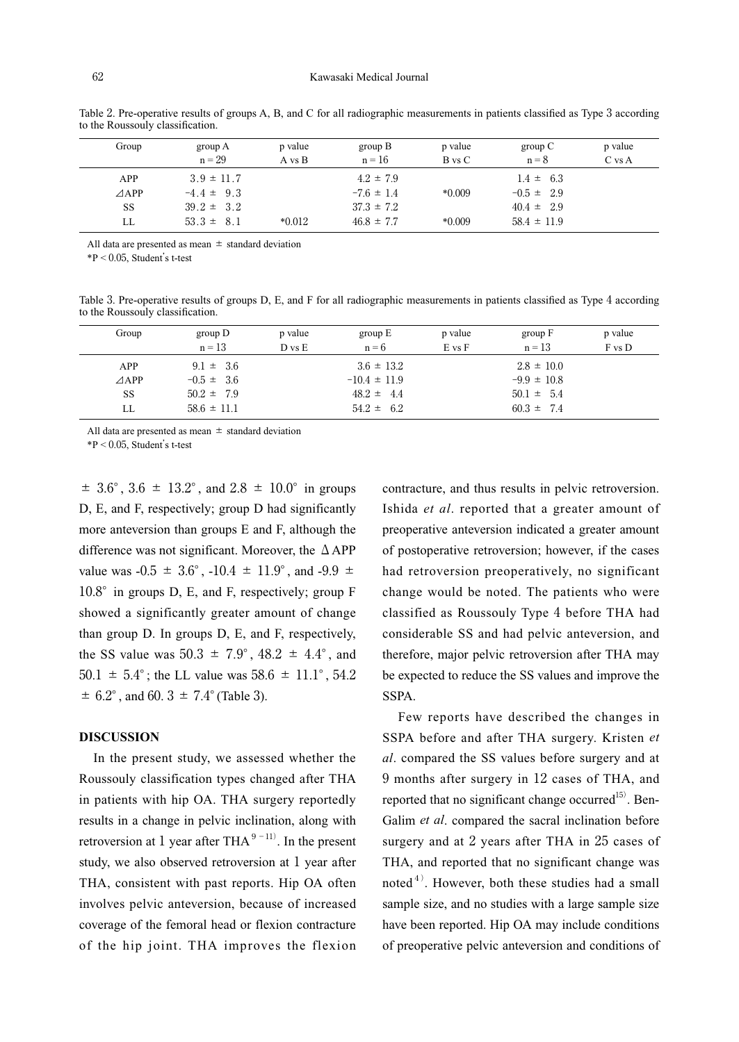| Group           | group A<br>$n = 29$ | p value<br>A vs B | group B<br>$n = 16$ | p value<br>B vs C | group $C$<br>$n = 8$ | p value<br>C vs A |
|-----------------|---------------------|-------------------|---------------------|-------------------|----------------------|-------------------|
| APP             | $3.9 \pm 11.7$      |                   | $4.2 \pm 7.9$       |                   | $1.4 \pm 6.3$        |                   |
| $\triangle$ APP | $-4.4 \pm 9.3$      |                   | $-7.6 \pm 1.4$      | $*0.009$          | $-0.5 \pm 2.9$       |                   |
| SS              | $39.2 \pm 3.2$      |                   | $37.3 \pm 7.2$      |                   | $40.4 \pm 2.9$       |                   |
| LL              | $53.3 \pm 8.1$      | $*0.012$          | $46.8 \pm 7.7$      | $*0.009$          | $58.4 \pm 11.9$      |                   |

Table 2. Pre-operative results of groups A, B, and C for all radiographic measurements in patients classified as Type 3 according to the Roussouly classification.

All data are presented as mean  $\pm$  standard deviation

 $*P < 0.05$ . Student's t-test

Table 3. Pre-operative results of groups D, E, and F for all radiographic measurements in patients classified as Type 4 according to the Roussouly classification.

| Group           | group D<br>$n = 1.3$ | p value<br>D vs E | group $E$<br>$n = 6$ | p value<br>$E$ vs $F$ | group F<br>$n = 13$ | p value<br>F vs D |
|-----------------|----------------------|-------------------|----------------------|-----------------------|---------------------|-------------------|
| APP             | $9.1 \pm 3.6$        |                   | $3.6 \pm 13.2$       |                       | $2.8 \pm 10.0$      |                   |
| $\triangle$ APP | $-0.5 \pm 3.6$       |                   | $-10.4 \pm 11.9$     |                       | $-9.9 \pm 10.8$     |                   |
| SS              | $50.2 \pm 7.9$       |                   | $48.2 \pm 4.4$       |                       | $50.1 \pm 5.4$      |                   |
| LL              | $58.6 \pm 11.1$      |                   | $54.2 \pm 6.2$       |                       | $60.3 \pm 7.4$      |                   |

All data are presented as mean  $\pm$  standard deviation

 $*P < 0.05$ , Student's t-test

 $\pm$  3.6°, 3.6  $\pm$  13.2°, and 2.8  $\pm$  10.0° in groups D, E, and F, respectively; group D had significantly more anteversion than groups E and F, although the difference was not significant. Moreover, the ΔAPP value was -0.5  $\pm$  3.6°, -10.4  $\pm$  11.9°, and -9.9  $\pm$ 10.8° in groups D, E, and F, respectively; group F showed a significantly greater amount of change than group D. In groups D, E, and F, respectively, the SS value was  $50.3 \pm 7.9^{\circ}$ ,  $48.2 \pm 4.4^{\circ}$ , and 50.1  $\pm$  5.4°; the LL value was 58.6  $\pm$  11.1°, 54.2  $\pm$  6.2°, and 60. 3  $\pm$  7.4° (Table 3).

#### **DISCUSSION**

 In the present study, we assessed whether the Roussouly classification types changed after THA in patients with hip OA. THA surgery reportedly results in a change in pelvic inclination, along with retroversion at 1 year after THA $^{9-11}$ . In the present study, we also observed retroversion at 1 year after THA, consistent with past reports. Hip OA often involves pelvic anteversion, because of increased coverage of the femoral head or flexion contracture of the hip joint. THA improves the flexion contracture, and thus results in pelvic retroversion. Ishida *et al*. reported that a greater amount of preoperative anteversion indicated a greater amount of postoperative retroversion; however, if the cases had retroversion preoperatively, no significant change would be noted. The patients who were classified as Roussouly Type 4 before THA had considerable SS and had pelvic anteversion, and therefore, major pelvic retroversion after THA may be expected to reduce the SS values and improve the SSPA.

 Few reports have described the changes in SSPA before and after THA surgery. Kristen *et al*. compared the SS values before surgery and at 9 months after surgery in 12 cases of THA, and reported that no significant change occurred<sup>15)</sup>. Ben-Galim *et al*. compared the sacral inclination before surgery and at 2 years after THA in 25 cases of THA, and reported that no significant change was noted $4$ <sup> $\ell$ </sup>. However, both these studies had a small sample size, and no studies with a large sample size have been reported. Hip OA may include conditions of preoperative pelvic anteversion and conditions of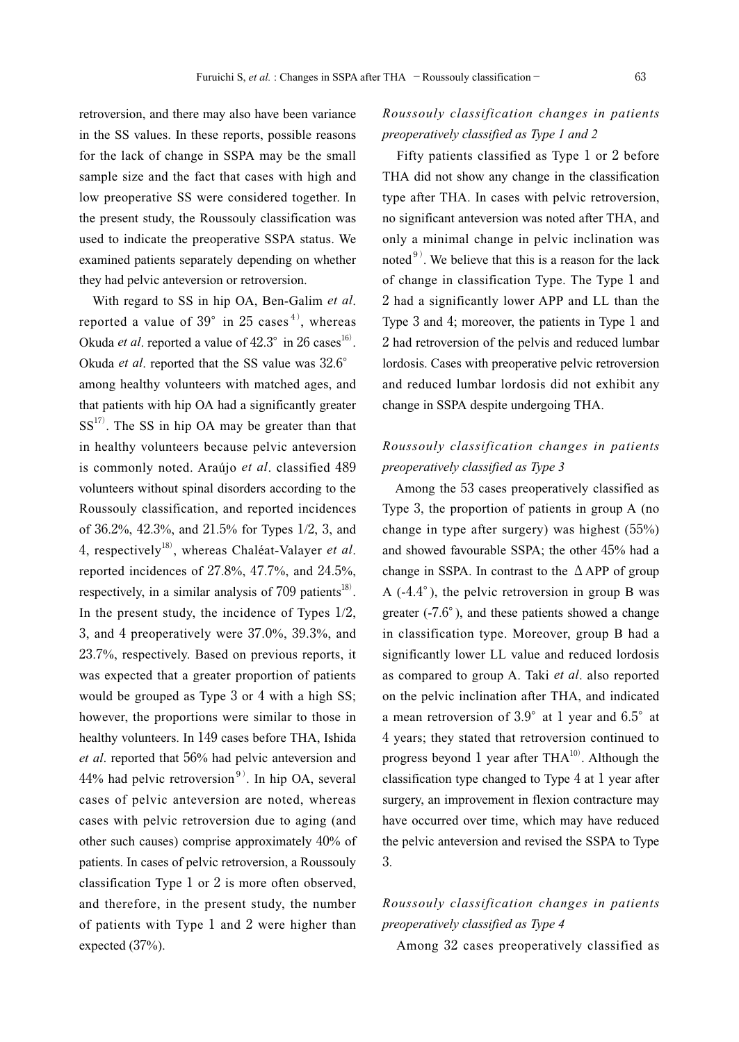retroversion, and there may also have been variance in the SS values. In these reports, possible reasons for the lack of change in SSPA may be the small sample size and the fact that cases with high and low preoperative SS were considered together. In the present study, the Roussouly classification was used to indicate the preoperative SSPA status. We examined patients separately depending on whether they had pelvic anteversion or retroversion.

 With regard to SS in hip OA, Ben-Galim *et al*. reported a value of  $39^{\circ}$  in 25 cases<sup>4)</sup>, whereas Okuda *et al*. reported a value of  $42.3^{\circ}$  in 26 cases<sup>16)</sup>. Okuda *et al*. reported that the SS value was 32.6° among healthy volunteers with matched ages, and that patients with hip OA had a significantly greater  $SS<sup>17</sup>$ . The SS in hip OA may be greater than that in healthy volunteers because pelvic anteversion is commonly noted. Araújo *et al*. classified 489 volunteers without spinal disorders according to the Roussouly classification, and reported incidences of 36.2%, 42.3%, and 21.5% for Types 1/2, 3, and 4, respectively18), whereas Chaléat-Valayer *et al*. reported incidences of 27.8%, 47.7%, and 24.5%, respectively, in a similar analysis of  $709$  patients<sup>18)</sup>. In the present study, the incidence of Types  $1/2$ , 3, and 4 preoperatively were 37.0%, 39.3%, and 23.7%, respectively. Based on previous reports, it was expected that a greater proportion of patients would be grouped as Type 3 or 4 with a high SS; however, the proportions were similar to those in healthy volunteers. In 149 cases before THA, Ishida *et al*. reported that 56% had pelvic anteversion and  $44%$  had pelvic retroversion<sup>9)</sup>. In hip OA, several cases of pelvic anteversion are noted, whereas cases with pelvic retroversion due to aging (and other such causes) comprise approximately 40% of patients. In cases of pelvic retroversion, a Roussouly classification Type 1 or 2 is more often observed, and therefore, in the present study, the number of patients with Type 1 and 2 were higher than expected (37%).

# *Roussouly classification changes in patients preoperatively classified as Type 1 and 2*

 Fifty patients classified as Type 1 or 2 before THA did not show any change in the classification type after THA. In cases with pelvic retroversion, no significant anteversion was noted after THA, and only a minimal change in pelvic inclination was noted $9$ ). We believe that this is a reason for the lack of change in classification Type. The Type 1 and 2 had a significantly lower APP and LL than the Type 3 and 4; moreover, the patients in Type 1 and 2 had retroversion of the pelvis and reduced lumbar lordosis. Cases with preoperative pelvic retroversion and reduced lumbar lordosis did not exhibit any change in SSPA despite undergoing THA.

# *Roussouly classification changes in patients preoperatively classified as Type 3*

 Among the 53 cases preoperatively classified as Type 3, the proportion of patients in group A (no change in type after surgery) was highest (55%) and showed favourable SSPA; the other 45% had a change in SSPA. In contrast to the  $\triangle$  APP of group A (-4.4°), the pelvic retroversion in group B was greater (-7.6°), and these patients showed a change in classification type. Moreover, group B had a significantly lower LL value and reduced lordosis as compared to group A. Taki *et al*. also reported on the pelvic inclination after THA, and indicated a mean retroversion of 3.9° at 1 year and 6.5° at 4 years; they stated that retroversion continued to progress beyond 1 year after  $THA<sup>10</sup>$ . Although the classification type changed to Type 4 at 1 year after surgery, an improvement in flexion contracture may have occurred over time, which may have reduced the pelvic anteversion and revised the SSPA to Type 3.

# *Roussouly classification changes in patients preoperatively classified as Type 4*

Among 32 cases preoperatively classified as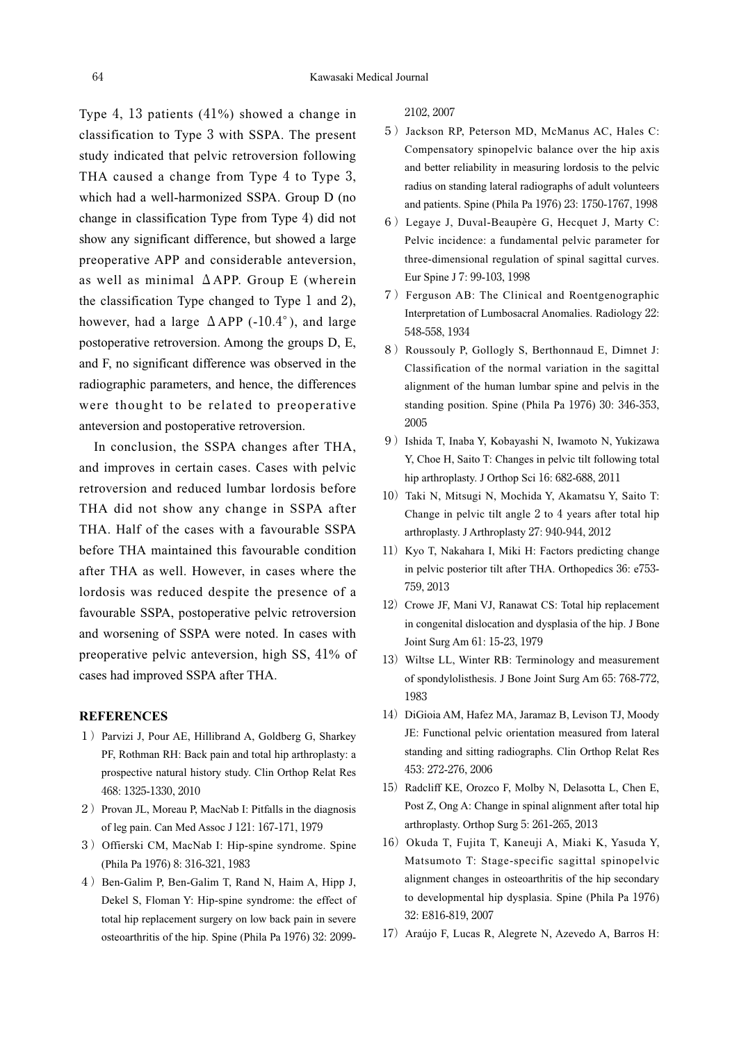Type 4, 13 patients (41%) showed a change in classification to Type 3 with SSPA. The present study indicated that pelvic retroversion following THA caused a change from Type 4 to Type 3, which had a well-harmonized SSPA. Group D (no change in classification Type from Type 4) did not show any significant difference, but showed a large preoperative APP and considerable anteversion, as well as minimal  $\triangle$ APP. Group E (wherein the classification Type changed to Type 1 and 2), however, had a large  $\triangle$ APP (-10.4°), and large postoperative retroversion. Among the groups D, E, and F, no significant difference was observed in the radiographic parameters, and hence, the differences were thought to be related to preoperative anteversion and postoperative retroversion.

 In conclusion, the SSPA changes after THA, and improves in certain cases. Cases with pelvic retroversion and reduced lumbar lordosis before THA did not show any change in SSPA after THA. Half of the cases with a favourable SSPA before THA maintained this favourable condition after THA as well. However, in cases where the lordosis was reduced despite the presence of a favourable SSPA, postoperative pelvic retroversion and worsening of SSPA were noted. In cases with preoperative pelvic anteversion, high SS, 41% of cases had improved SSPA after THA.

### **REFERENCES**

- 1)Parvizi J, Pour AE, Hillibrand A, Goldberg G, Sharkey PF, Rothman RH: Back pain and total hip arthroplasty: a prospective natural history study. Clin Orthop Relat Res 468: 1325-1330, 2010
- 2) Provan JL, Moreau P, MacNab I: Pitfalls in the diagnosis of leg pain. Can Med Assoc J 121: 167-171, 1979
- 3) Offierski CM, MacNab I: Hip-spine syndrome. Spine (Phila Pa 1976) 8: 316-321, 1983
- 4) Ben-Galim P, Ben-Galim T, Rand N, Haim A, Hipp J, Dekel S, Floman Y: Hip-spine syndrome: the effect of total hip replacement surgery on low back pain in severe osteoarthritis of the hip. Spine (Phila Pa 1976) 32: 2099-

2102, 2007

- 5) Jackson RP, Peterson MD, McManus AC, Hales C: Compensatory spinopelvic balance over the hip axis and better reliability in measuring lordosis to the pelvic radius on standing lateral radiographs of adult volunteers and patients. Spine (Phila Pa 1976) 23: 1750-1767, 1998
- 6)Legaye J, Duval-Beaupère G, Hecquet J, Marty C: Pelvic incidence: a fundamental pelvic parameter for three-dimensional regulation of spinal sagittal curves. Eur Spine J 7: 99-103, 1998
- 7)Ferguson AB: The Clinical and Roentgenographic Interpretation of Lumbosacral Anomalies. Radiology 22: 548-558, 1934
- 8) Roussouly P, Gollogly S, Berthonnaud E, Dimnet J: Classification of the normal variation in the sagittal alignment of the human lumbar spine and pelvis in the standing position. Spine (Phila Pa 1976) 30: 346-353, 2005
- 9)Ishida T, Inaba Y, Kobayashi N, Iwamoto N, Yukizawa Y, Choe H, Saito T: Changes in pelvic tilt following total hip arthroplasty. J Orthop Sci 16: 682-688, 2011
- 10) Taki N, Mitsugi N, Mochida Y, Akamatsu Y, Saito T: Change in pelvic tilt angle 2 to 4 years after total hip arthroplasty. J Arthroplasty 27: 940-944, 2012
- 11) Kyo T, Nakahara I, Miki H: Factors predicting change in pelvic posterior tilt after THA. Orthopedics 36: e753- 759, 2013
- 12) Crowe JF, Mani VJ, Ranawat CS: Total hip replacement in congenital dislocation and dysplasia of the hip. J Bone Joint Surg Am 61: 15-23, 1979
- 13) Wiltse LL, Winter RB: Terminology and measurement of spondylolisthesis. J Bone Joint Surg Am 65: 768-772, 1983
- 14) DiGioia AM, Hafez MA, Jaramaz B, Levison TJ, Moody JE: Functional pelvic orientation measured from lateral standing and sitting radiographs. Clin Orthop Relat Res 453: 272-276, 2006
- 15) Radcliff KE, Orozco F, Molby N, Delasotta L, Chen E, Post Z, Ong A: Change in spinal alignment after total hip arthroplasty. Orthop Surg 5: 261-265, 2013
- 16) Okuda T, Fujita T, Kaneuji A, Miaki K, Yasuda Y, Matsumoto T: Stage-specific sagittal spinopelvic alignment changes in osteoarthritis of the hip secondary to developmental hip dysplasia. Spine (Phila Pa 1976) 32: E816-819, 2007
- 17) Araújo F, Lucas R, Alegrete N, Azevedo A, Barros H: